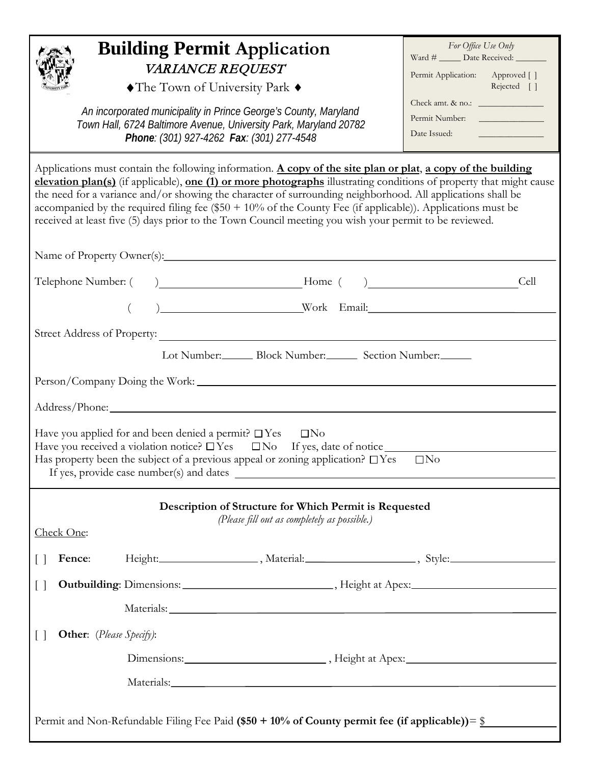| <b>SITY PARK</b><br>$v_{\rmNTV$ |
|---------------------------------|
|---------------------------------|

## **Building Permit Application** VARIANCE REQUEST

♦The Town of University Park ♦

 *An incorporated municipality in Prince George's County, Maryland Town Hall, 6724 Baltimore Avenue, University Park, Maryland 20782 Phone: (301) 927-4262 Fax: (301) 277-4548*

| For Office Use Only         |                            |
|-----------------------------|----------------------------|
| Ward # _____ Date Received: |                            |
| Permit Application:         | Approved []<br>Rejected [] |
| Check amt. & no.:           |                            |

Permit Number: Date Issued:

|                                    | Applications must contain the following information. A copy of the site plan or plat, a copy of the building<br>the need for a variance and/or showing the character of surrounding neighborhood. All applications shall be<br>accompanied by the required filing fee (\$50 + $10\%$ of the County Fee (if applicable)). Applications must be<br>received at least five (5) days prior to the Town Council meeting you wish your permit to be reviewed. | elevation plan(s) (if applicable), one (1) or more photographs illustrating conditions of property that might cause |
|------------------------------------|---------------------------------------------------------------------------------------------------------------------------------------------------------------------------------------------------------------------------------------------------------------------------------------------------------------------------------------------------------------------------------------------------------------------------------------------------------|---------------------------------------------------------------------------------------------------------------------|
|                                    |                                                                                                                                                                                                                                                                                                                                                                                                                                                         |                                                                                                                     |
|                                    |                                                                                                                                                                                                                                                                                                                                                                                                                                                         | Cell                                                                                                                |
|                                    |                                                                                                                                                                                                                                                                                                                                                                                                                                                         |                                                                                                                     |
|                                    |                                                                                                                                                                                                                                                                                                                                                                                                                                                         |                                                                                                                     |
|                                    | Lot Number: Block Number: Section Number:                                                                                                                                                                                                                                                                                                                                                                                                               |                                                                                                                     |
|                                    |                                                                                                                                                                                                                                                                                                                                                                                                                                                         |                                                                                                                     |
|                                    |                                                                                                                                                                                                                                                                                                                                                                                                                                                         |                                                                                                                     |
|                                    | Have you applied for and been denied a permit? $\square$ Yes $\square$ No<br>Have you received a violation notice? $\Box$ Yes $\Box$ No If yes, date of notice $\Box$<br>Has property been the subject of a previous appeal or zoning application? $\square$ Yes $\square$ No                                                                                                                                                                           |                                                                                                                     |
| Check One:                         | Description of Structure for Which Permit is Requested<br>(Please fill out as completely as possible.)                                                                                                                                                                                                                                                                                                                                                  |                                                                                                                     |
| $\Box$<br><b>Fence:</b>            |                                                                                                                                                                                                                                                                                                                                                                                                                                                         | Height: _____________________, Material: _____________________, Style: ____________________________,                |
|                                    |                                                                                                                                                                                                                                                                                                                                                                                                                                                         |                                                                                                                     |
|                                    |                                                                                                                                                                                                                                                                                                                                                                                                                                                         |                                                                                                                     |
|                                    |                                                                                                                                                                                                                                                                                                                                                                                                                                                         |                                                                                                                     |
| Other: (Please Specify):<br>$\Box$ |                                                                                                                                                                                                                                                                                                                                                                                                                                                         |                                                                                                                     |
|                                    |                                                                                                                                                                                                                                                                                                                                                                                                                                                         |                                                                                                                     |
|                                    |                                                                                                                                                                                                                                                                                                                                                                                                                                                         |                                                                                                                     |

Permit and Non-Refundable Filing Fee Paid **(\$50 + 10% of County permit fee (if applicable))**= \$